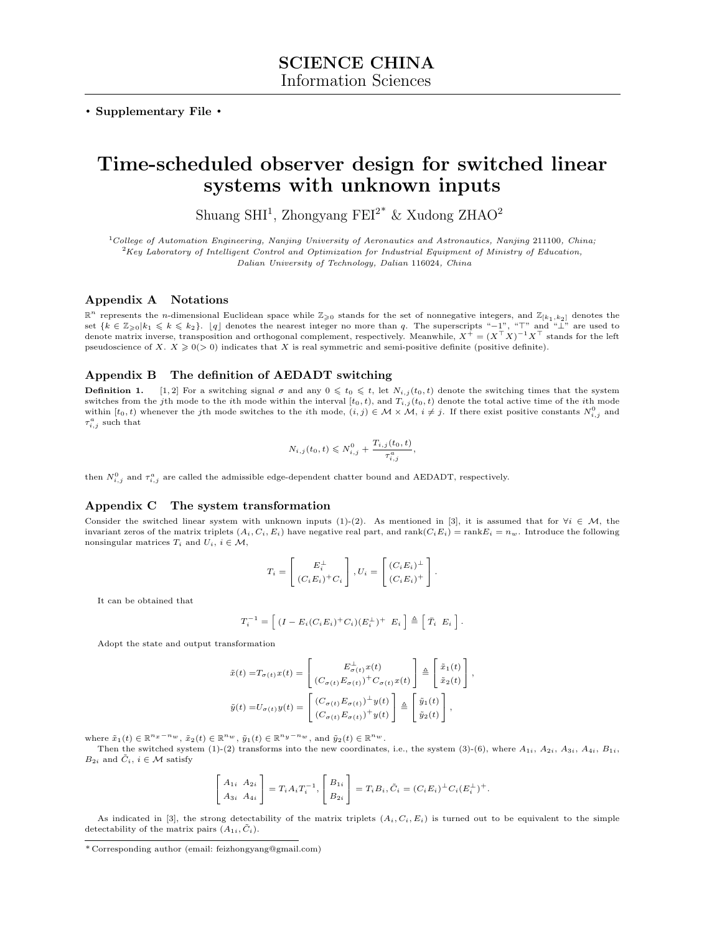. Supplementary File .

# Time-scheduled observer design for switched linear systems with unknown inputs

Shuang SHI<sup>1</sup>, Zhongyang FEI<sup>2\*</sup> & Xudong ZHAO<sup>2</sup>

<sup>1</sup>College of Automation Engineering, Nanjing University of Aeronautics and Astronautics, Nanjing 211100, China;  ${}^{2}$ Key Laboratory of Intelligent Control and Optimization for Industrial Equipment of Ministry of Education, Dalian University of Technology, Dalian 116024, China

# Appendix A Notations

 $\mathbb{R}^n$  represents the *n*-dimensional Euclidean space while  $\mathbb{Z}_{\geq 0}$  stands for the set of nonnegative integers, and  $\mathbb{Z}_{[k_1,k_2]}$  denotes the set  $\{k \in \mathbb{Z}_{\geq 0} | k_1 \leq k \leq k_2\}$ . [q] denotes the nearest denote matrix inverse, transposition and orthogonal complement, respectively. Meanwhile,  $X^+ = (X^{\top} X)^{-1} X^{\top}$  stands for the left pseudoscience of X.  $X \ge 0$  (> 0) indicates that X is real symmetric and semi-positive definite (positive definite).

# Appendix B The definition of AEDADT switching

**Definition 1.** [\[1,](#page-3-0) [2\]](#page-3-1) For a switching signal  $\sigma$  and any  $0 \leq t_0 \leq t$ , let  $N_{i,j}(t_0, t)$  denote the switching times that the system switches from the jth mode to the ith mode within the interval  $[t_0, t)$ , and  $T_{i,j}(t_0, t)$  denote the total active time of the ith mode within  $[t_0, t)$  whenever the jth mode switches to the ith mode,  $(i, j) \in \mathcal{M} \times \mathcal{M}$ ,  $i \neq j$ . If there exist positive constants  $N_{i,j}^0$  and  $\tau_{i,j}^a$  such that

$$
N_{i,j}(t_0, t) \leqslant N_{i,j}^0 + \frac{T_{i,j}(t_0, t)}{\tau_{i,j}^a},
$$

then  $N_{i,j}^0$  and  $\tau_{i,j}^a$  are called the admissible edge-dependent chatter bound and AEDADT, respectively.

## Appendix C The system transformation

Consider the switched linear system with unknown inputs (1)-(2). As mentioned in [\[3\]](#page-3-2), it is assumed that for  $\forall i \in \mathcal{M}$ , the invariant zeros of the matrix triplets  $(A_i, C_i, E_i)$  have negative real part, and rank $(C_i E_i) = \text{rank} E_i = n_w$ . Introduce the following nonsingular matrices  $T_i$  and  $U_i$ ,  $i \in \mathcal{M}$ ,

$$
T_i = \begin{bmatrix} E_i^{\perp} \\ (C_i E_i)^+ C_i \end{bmatrix}, U_i = \begin{bmatrix} (C_i E_i)^{\perp} \\ (C_i E_i)^{+} \end{bmatrix}.
$$

It can be obtained that

$$
T_i^{-1} = \left[ (I - E_i(C_i E_i)^+ C_i)(E_i^{\perp})^+ \ E_i \right] \triangleq \left[ \bar{T}_i \ E_i \right].
$$

Adopt the state and output transformation

$$
\tilde{x}(t) = T_{\sigma(t)}x(t) = \begin{bmatrix} E_{\sigma(t)}^{\perp}x(t) \\ (C_{\sigma(t)}E_{\sigma(t)})^{+}C_{\sigma(t)}x(t) \end{bmatrix} \triangleq \begin{bmatrix} \tilde{x}_1(t) \\ \tilde{x}_2(t) \end{bmatrix},
$$

$$
\tilde{y}(t) = U_{\sigma(t)}y(t) = \begin{bmatrix} (C_{\sigma(t)}E_{\sigma(t)})^{+}y(t) \\ (C_{\sigma(t)}E_{\sigma(t)})^{+}y(t) \end{bmatrix} \triangleq \begin{bmatrix} \tilde{y}_1(t) \\ \tilde{y}_2(t) \end{bmatrix},
$$

where  $\tilde{x}_1(t) \in \mathbb{R}^{n_x - n_w}$ ,  $\tilde{x}_2(t) \in \mathbb{R}^{n_w}$ ,  $\tilde{y}_1(t) \in \mathbb{R}^{n_y - n_w}$ , and  $\tilde{y}_2(t) \in \mathbb{R}^{n_w}$ .

Then the switched system  $(1)-(2)$  transforms into the new coordinates, i.e., the system  $(3)-(6)$ , where  $A_{1i}$ ,  $A_{2i}$ ,  $A_{3i}$ ,  $A_{4i}$ ,  $B_{1i}$ ,  $B_{2i}$  and  $\tilde{C}_i$ ,  $i \in \mathcal{M}$  satisfy

$$
\begin{bmatrix} A_{1i} & A_{2i} \\ A_{3i} & A_{4i} \end{bmatrix} = T_i A_i T_i^{-1}, \begin{bmatrix} B_{1i} \\ B_{2i} \end{bmatrix} = T_i B_i, \tilde{C}_i = (C_i E_i)^{\perp} C_i (E_i^{\perp})^{\dagger}.
$$

As indicated in [\[3\]](#page-3-2), the strong detectability of the matrix triplets  $(A_i, C_i, E_i)$  is turned out to be equivalent to the simple detectability of the matrix pairs  $(A_{1i}, \tilde{C}_i)$ .

<sup>\*</sup> Corresponding author (email: feizhongyang@gmail.com)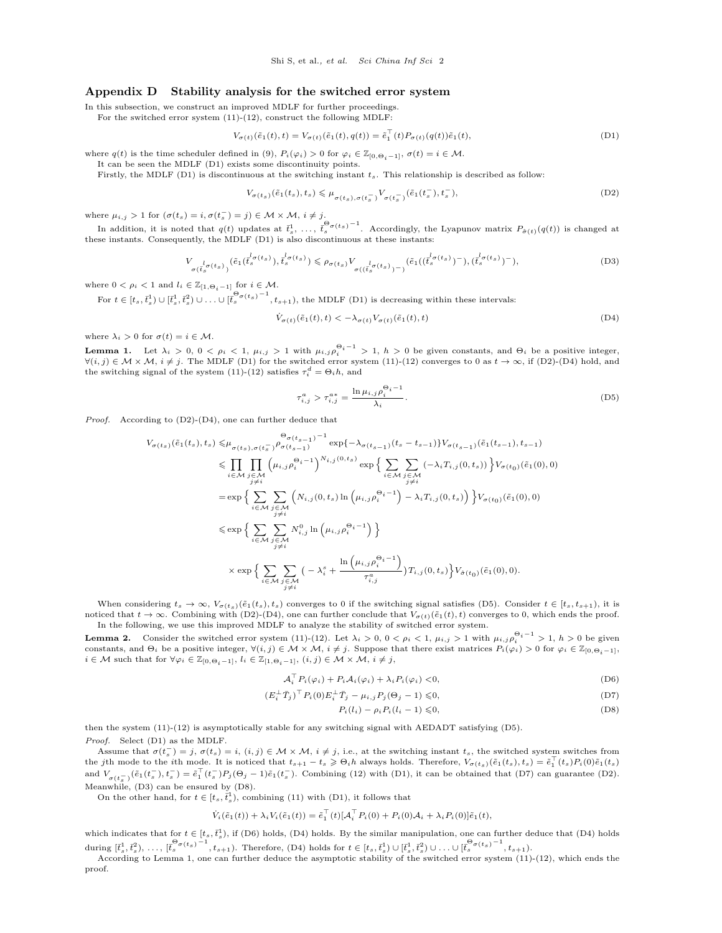# Appendix D Stability analysis for the switched error system

In this subsection, we construct an improved MDLF for further proceedings.

For the switched error system  $(11)-(12)$ , construct the following MDLF:

$$
V_{\sigma(t)}(\tilde{e}_1(t), t) = V_{\sigma(t)}(\tilde{e}_1(t), q(t)) = \tilde{e}_1^{\top}(t) P_{\sigma(t)}(q(t)) \tilde{e}_1(t),
$$
\n(D1)

where  $q(t)$  is the time scheduler defined in (9),  $P_i(\varphi_i) > 0$  for  $\varphi_i \in \mathbb{Z}_{[0,\Theta_i-1]}$ ,  $\sigma(t) = i \in \mathcal{M}$ .

It can be seen the MDLF [\(D1\)](#page-1-0) exists some discontinuity points.

Firstly, the MDLF [\(D1\)](#page-1-0) is discontinuous at the switching instant  $t_s$ . This relationship is described as follow:

<span id="page-1-0"></span>
$$
V_{\sigma(t_s)}(\tilde{e}_1(t_s), t_s) \leqslant \mu_{\sigma(t_s), \sigma(t_s^-)} V_{\sigma(t_s^-)}(\tilde{e}_1(t_s^-), t_s^-),
$$
\n(D2)

where  $\mu_{i,j} > 1$  for  $(\sigma(t_s) = i, \sigma(t_s^-) = j) \in \mathcal{M} \times \mathcal{M}, i \neq j$ .

In addition, it is noted that  $q(t)$  updates at  $\bar{t}_s^1, \ldots, \bar{t}_s^{\Theta_{\sigma(t_s)}-1}$ . Accordingly, the Lyapunov matrix  $P_{\hat{\sigma}(t)}(q(t))$  is changed at these instants. Consequently, the MDLF [\(D1\)](#page-1-0) is also discontinuous at these instants:

$$
V_{\sigma(t_s^{\{d_{\sigma}(t_s)\}})}(\tilde{e}_1(t_s^{\{d_{\sigma}(t_s)\}}), t_s^{\{d_{\sigma}(t_s)\}}) \le \rho_{\sigma(t_s)} V_{\sigma((t_s^{\{d_{\sigma}(t_s)\}})^{-})}(\tilde{e}_1((t_s^{\{d_{\sigma}(t_s)\}})^{-}), (t_s^{\{d_{\sigma}(t_s)\}})^{-}),
$$
(D3)

where  $0 < \rho_i < 1$  and  $l_i \in \mathbb{Z}_{[1,\Theta_i-1]}$  for  $i \in \mathcal{M}$ .

For  $t \in [t_s, \overline{t}_s^1] \cup [\overline{t}_s^1, \overline{t}_s^2] \cup \ldots \cup [\overline{t}_s^{\Theta_{\sigma}(t_s)}^{-1}, t_{s+1}),$  the MDLF [\(D1\)](#page-1-0) is decreasing within these intervals:

<span id="page-1-1"></span>
$$
\dot{V}_{\sigma(t)}(\tilde{e}_1(t),t) < -\lambda_{\sigma(t)} V_{\sigma(t)}(\tilde{e}_1(t),t)
$$
\n(D4)

where  $\lambda_i > 0$  for  $\sigma(t) = i \in \mathcal{M}$ .

<span id="page-1-8"></span>**Lemma 1.** Let  $\lambda_i > 0$ ,  $0 < \rho_i < 1$ ,  $\mu_{i,j} > 1$  with  $\mu_{i,j} \rho_i^{\Theta_i - 1} > 1$ ,  $h > 0$  be given constants, and  $\Theta_i$  be a positive integer,  $\forall (i, j) \in \mathcal{M} \times \mathcal{M}, i \neq j$ . The MDLF [\(D1\)](#page-1-0) for the switched error system (11)-(12) converges to 0 as  $t \to \infty$ , if [\(D2\)](#page-1-1)-[\(D4\)](#page-1-2) hold, and the switching signal of the system (11)-(12) satisfies  $\tau_i^d = \Theta_i h$ , and

<span id="page-1-5"></span><span id="page-1-3"></span><span id="page-1-2"></span>
$$
\tau_{i,j}^a > \tau_{i,j}^{a*} = \frac{\ln \mu_{i,j} \rho_i^{\Theta_i - 1}}{\lambda_i}.
$$
\n(D5)

Proof. According to [\(D2\)](#page-1-1)-[\(D4\)](#page-1-2), one can further deduce that

$$
V_{\sigma(t_s)}(\tilde{e}_1(t_s), t_s) \leq \mu_{\sigma(t_s), \sigma(t_s^-)} \rho_{\sigma(t_{s-1})}^{0} - \exp\{-\lambda_{\sigma(t_{s-1})}(t_s - t_{s-1})\} V_{\sigma(t_{s-1})}(\tilde{e}_1(t_{s-1}), t_{s-1})
$$
  
\n
$$
\leq \prod_{i \in \mathcal{M}} \prod_{j \neq i} \left(\mu_{i,j} \rho_i^{0_i - 1}\right)^{N_{i,j}(0, t_s)} \exp\Big\{\sum_{i \in \mathcal{M}} \sum_{\substack{j \in \mathcal{M} \\ j \neq i}} \left(-\lambda_i T_{i,j}(0, t_s)\right)\Big\} V_{\sigma(t_0)}(\tilde{e}_1(0), 0)
$$
  
\n
$$
= \exp\Big\{\sum_{i \in \mathcal{M}} \sum_{\substack{j \in \mathcal{M} \\ j \neq i}} \left(N_{i,j}(0, t_s) \ln\left(\mu_{i,j} \rho_i^{0_i - 1}\right) - \lambda_i T_{i,j}(0, t_s)\right)\Big\} V_{\sigma(t_0)}(\tilde{e}_1(0), 0)
$$
  
\n
$$
\leq \exp\Big\{\sum_{i \in \mathcal{M}} \sum_{\substack{j \in \mathcal{M} \\ j \neq i}} N_{i,j}^0 \ln\left(\mu_{i,j} \rho_i^{0_i - 1}\right)\Big\}
$$
  
\n
$$
\times \exp\Big\{\sum_{i \in \mathcal{M}} \sum_{\substack{j \in \mathcal{M} \\ j \neq i}} \left(-\lambda_i^s + \frac{\ln\left(\mu_{i,j} \rho_i^{0_i - 1}\right)}{\tau_{i,j}^a}\right) T_{i,j}(0, t_s)\Big\} V_{\tilde{\sigma}(t_0)}(\tilde{e}_1(0), 0).
$$

When considering  $t_s \to \infty$ ,  $V_{\sigma(t_s)}(\tilde{e}_1(t_s), t_s)$  converges to 0 if the switching signal satisfies [\(D5\)](#page-1-3). Consider  $t \in [t_s, t_{s+1})$ , it is noticed that  $t \to \infty$ . Combining with [\(D2\)](#page-1-1)-[\(D4\)](#page-1-2), one can further conclude that  $V_{\sigma(t)}(\tilde{e}_1(t), t)$  converges to 0, which ends the proof. In the following, we use this improved MDLF to analyze the stability of switched error system.

<span id="page-1-9"></span>**Lemma 2.** Consider the switched error system (11)-(12). Let  $\lambda_i > 0$ ,  $0 < \rho_i < 1$ ,  $\mu_{i,j} > 1$  with  $\mu_{i,j} \rho_i^{Q_i - 1} > 1$ ,  $h > 0$  be given constants, and  $\Theta_i$  be a positive integer,  $\forall (i,j) \in \mathcal{M} \times \mathcal{M}$ ,  $i \neq j$ . Sup  $i \in \mathcal{M}$  such that for  $\forall \varphi_i \in \mathbb{Z}_{[0,\Theta_i-1]}, l_i \in \mathbb{Z}_{[1,\Theta_i-1]}, (i,j) \in \mathcal{M} \times \mathcal{M}, i \neq j$ ,

$$
\mathcal{A}_i^{\top} P_i(\varphi_i) + P_i \mathcal{A}_i(\varphi_i) + \lambda_i P_i(\varphi_i) < 0,\tag{D6}
$$

$$
(E_i^{\perp} \bar{T}_j)^{\top} P_i(0) E_i^{\perp} \bar{T}_j - \mu_{i,j} P_j(\Theta_j - 1) \leq 0,
$$
\n(D7)

<span id="page-1-7"></span><span id="page-1-6"></span><span id="page-1-4"></span>
$$
P_i(l_i) - \rho_i P_i(l_i - 1) \leq 0,\tag{D8}
$$

then the system (11)-(12) is asymptotically stable for any switching signal with AEDADT satisfying [\(D5\)](#page-1-3). Proof. Select [\(D1\)](#page-1-0) as the MDLF.

Assume that  $\sigma(t_s^-) = j$ ,  $\sigma(t_s) = i$ ,  $(i, j) \in \mathcal{M} \times \mathcal{M}$ ,  $i \neq j$ , i.e., at the switching instant  $t_s$ , the switched system switches from the jth mode to the *i*th mode. It is noticed that  $t_{s+1} - t_s \geqslant \Theta_i h$  always holds. Therefore,  $V_{\sigma(t_s)}(\tilde{e}_1(t_s), t_s) = \tilde{e}_1^{\top}(t_s)P_i(0)\tilde{e}_1(t_s)$ and  $V_{\sigma(t_s^-)}(\tilde{e}_1(t_s^-), t_s^-) = \tilde{e}_1^{\top}(t_s^-)P_j(\Theta_j - 1)\tilde{e}_1(t_s^-)$ . Combining (12) with [\(D1\)](#page-1-0), it can be obtained that [\(D7\)](#page-1-4) can guarantee [\(D2\)](#page-1-1). Meanwhile, [\(D3\)](#page-1-5) can be ensured by [\(D8\)](#page-1-6).

On the other hand, for  $t \in [t_s, \bar{t}_s^1]$ , combining (11) with [\(D1\)](#page-1-0), it follows that

$$
\dot{V}_i(\tilde{e}_1(t)) + \lambda_i V_i(\tilde{e}_1(t)) = \tilde{e}_1^{\top}(t) [\mathcal{A}_i^{\top} P_i(0) + P_i(0) \mathcal{A}_i + \lambda_i P_i(0)] \tilde{e}_1(t),
$$

which indicates that for  $t \in [t_s, \bar{t}_s^1)$ , if [\(D6\)](#page-1-7) holds, [\(D4\)](#page-1-2) holds. By the similar manipulation, one can further deduce that (D4) holds during  $[\bar{t}_s^1, \bar{t}_s^2], \ldots, [\bar{t}_s^{\Theta_{\sigma(t_s)}-1}, t_{s+1})$ . Therefore, [\(D4\)](#page-1-2) holds for  $t \in [t_s, \bar{t}_s^1) \cup [\bar{t}_s^1, \bar{t}_s^2] \cup \ldots \cup [\bar{t}_s^{\Theta_{\sigma(t_s)}-1}, t_{s+1})$ .

According to Lemma [1,](#page-1-8) one can further deduce the asymptotic stability of the switched error system (11)-(12), which ends the proof.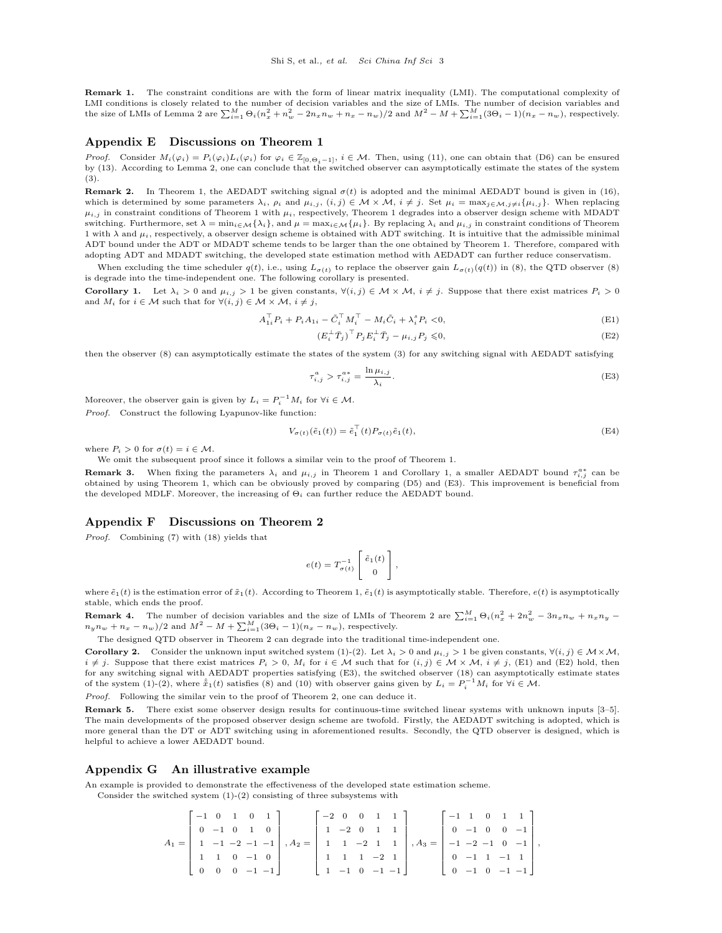Remark 1. The constraint conditions are with the form of linear matrix inequality (LMI). The computational complexity of LMI conditions is closely related to the number of decision variables and the size of LMIs. The number of decision variables and the size of LMIs of Lemma [2](#page-1-9) are  $\sum_{i=1}^{M} \Theta_i (n_x^2 + n_w^2 - 2n_x n_w + n_x - n_w)/2$  and  $M^2 - M + \sum_{i=1}^{M} (3\Theta_i - 1)(n_x - n_w)$ , respectively.

#### Appendix E Discussions on Theorem 1

*Proof.* Consider  $M_i(\varphi_i) = P_i(\varphi_i)L_i(\varphi_i)$  for  $\varphi_i \in \mathbb{Z}_{[0,\Theta_i-1]}, i \in \mathcal{M}$ . Then, using (11), one can obtain that [\(D6\)](#page-1-7) can be ensured by (13). According to Lemma [2,](#page-1-9) one can conclude that the switched observer can asymptotically estimate the states of the system (3).

<span id="page-2-5"></span>Remark 2. In Theorem 1, the AEDADT switching signal  $\sigma(t)$  is adopted and the minimal AEDADT bound is given in (16), which is determined by some parameters  $\lambda_i$ ,  $\rho_i$  and  $\mu_{i,j}$ ,  $(i,j) \in \mathcal{M} \times \mathcal{M}$ ,  $i \neq j$ . Set  $\mu_i = \max_{j \in \mathcal{M}, j \neq i} {\mu_{i,j}}$ . When replacing  $\mu_{i,j}$  in constraint conditions of Theorem 1 with  $\mu_i$ , respectively, Theorem 1 degrades into a observer design scheme with MDADT switching. Furthermore, set  $\lambda = \min_{i \in \mathcal{M}} \{\lambda_i\}$ , and  $\mu = \max_{i \in \mathcal{M}} \{\mu_i\}$ . By replacing  $\lambda_i$  and  $\mu_{i,j}$  in constraint conditions of Theorem 1 with  $\lambda$  and  $\mu_i$ , respectively, a observer design scheme is obtained with ADT switching. It is intuitive that the admissible minimal ADT bound under the ADT or MDADT scheme tends to be larger than the one obtained by Theorem 1. Therefore, compared with adopting ADT and MDADT switching, the developed state estimation method with AEDADT can further reduce conservatism.

When excluding the time scheduler  $q(t)$ , i.e., using  $L_{\sigma(t)}$  to replace the observer gain  $L_{\sigma(t)}(q(t))$  in (8), the QTD observer (8) is degrade into the time-independent one. The following corollary is presented.

<span id="page-2-0"></span>Corollary 1. Let  $\lambda_i > 0$  and  $\mu_{i,j} > 1$  be given constants,  $\forall (i,j) \in \mathcal{M} \times \mathcal{M}, i \neq j$ . Suppose that there exist matrices  $P_i > 0$ and  $M_i$  for  $i \in \mathcal{M}$  such that for  $\forall (i, j) \in \mathcal{M} \times \mathcal{M}, i \neq j$ ,

$$
A_{1i}^{\top} P_i + P_i A_{1i} - \tilde{C}_i^{\top} M_i^{\top} - M_i \tilde{C}_i + \lambda_i^s P_i < 0,\tag{E1}
$$

<span id="page-2-3"></span><span id="page-2-2"></span><span id="page-2-1"></span>
$$
\left(E_i^{\perp} \bar{T}_j\right)^{\top} P_j E_i^{\perp} \bar{T}_j - \mu_{i,j} P_j \leqslant 0,\tag{E2}
$$

then the observer (8) can asymptotically estimate the states of the system (3) for any switching signal with AEDADT satisfying

$$
\tau_{i,j}^a > \tau_{i,j}^{a*} = \frac{\ln \mu_{i,j}}{\lambda_i}.
$$
\n(E3)

Moreover, the observer gain is given by  $L_i = P_i^{-1} M_i$  for  $\forall i \in \mathcal{M}$ .

Proof. Construct the following Lyapunov-like function:

$$
V_{\sigma(t)}(\tilde{e}_1(t)) = \tilde{e}_1^{\top}(t) P_{\sigma(t)} \tilde{e}_1(t), \tag{E4}
$$

where  $P_i > 0$  for  $\sigma(t) = i \in \mathcal{M}$ .

We omit the subsequent proof since it follows a similar vein to the proof of Theorem 1.

**Remark 3.** When fixing the parameters  $\lambda_i$  and  $\mu_{i,j}$  in Theorem 1 and Corollary [1,](#page-2-0) a smaller AEDADT bound  $\tau_{i,j}^{a,*}$  can be obtained by using Theorem 1, which can be obviously proved by comparing [\(D5\)](#page-1-3) and [\(E3\)](#page-2-1). This improvement is beneficial from the developed MDLF. Moreover, the increasing of  $\Theta_i$  can further reduce the AEDADT bound.

## Appendix F Discussions on Theorem 2

Proof. Combining (7) with (18) yields that

$$
e(t) = T_{\sigma(t)}^{-1} \left[ \begin{array}{c} \tilde{e}_1(t) \\ 0 \end{array} \right],
$$

where  $\tilde{e}_1(t)$  is the estimation error of  $\tilde{x}_1(t)$ . According to Theorem 1,  $\tilde{e}_1(t)$  is asymptotically stable. Therefore,  $e(t)$  is asymptotically stable, which ends the proof.

**Remark 4.** The number of decision variables and the size of LMIs of Theorem 2 are  $\sum_{i=1}^{M} \Theta_i (n_x^2 + 2n_w^2 - 3n_x n_w + n_x n_y - 1)$  $n_y n_w + n_x - n_w$  / 2 and  $M^2 - M + \sum_{i=1}^{M} (3\Theta_i - 1)(n_x - n_w)$ , respectively.

The designed QTD observer in Theorem 2 can degrade into the traditional time-independent one.

<span id="page-2-4"></span>**Corollary 2.** Consider the unknown input switched system (1)-(2). Let  $\lambda_i > 0$  and  $\mu_{i,j} > 1$  be given constants,  $\forall (i, j) \in \mathcal{M} \times \mathcal{M}$ ,  $i \neq j$ . Suppose that there exist matrices  $P_i > 0$ ,  $M_i$  for  $i \in \mathcal{M}$  such that for  $(i, j) \in \mathcal{M} \times \mathcal{M}$ ,  $i \neq j$ , [\(E1\)](#page-2-2) and [\(E2\)](#page-2-3) hold, then for any switching signal with AEDADT properties satisfying [\(E3\)](#page-2-1), the switched observer (18) can asymptotically estimate states of the system (1)-(2), where  $\hat{\tilde{x}}_1(t)$  satisfies (8) and (10) with observer gains given by  $L_i = P_i^{-1}M_i$  for  $\forall i \in \mathcal{M}$ .

Proof. Following the similar vein to the proof of Theorem 2, one can deduce it.

Remark 5. There exist some observer design results for continuous-time switched linear systems with unknown inputs [\[3–](#page-3-2)[5\]](#page-3-3). The main developments of the proposed observer design scheme are twofold. Firstly, the AEDADT switching is adopted, which is more general than the DT or ADT switching using in aforementioned results. Secondly, the QTD observer is designed, which is helpful to achieve a lower AEDADT bound.

#### Appendix G An illustrative example

An example is provided to demonstrate the effectiveness of the developed state estimation scheme.

Consider the switched system 
$$
(1)-(2)
$$
 consisting of three subsystems with

$$
A_1 = \begin{bmatrix} -1 & 0 & 1 & 0 & 1 \\ 0 & -1 & 0 & 1 & 0 \\ 1 & -1 & -2 & -1 & -1 \\ 1 & 1 & 0 & -1 & 0 \\ 0 & 0 & 0 & -1 & -1 \end{bmatrix}, A_2 = \begin{bmatrix} -2 & 0 & 0 & 1 & 1 \\ 1 & -2 & 0 & 1 & 1 \\ 1 & 1 & -2 & 1 & 1 \\ 1 & 1 & 1 & -2 & 1 \\ 1 & -1 & 0 & -1 & -1 \end{bmatrix}, A_3 = \begin{bmatrix} -1 & 1 & 0 & 1 & 1 \\ 0 & -1 & 0 & 0 & -1 \\ -1 & -2 & -1 & 0 & -1 \\ 0 & -1 & 1 & -1 & 1 \\ 0 & -1 & 0 & -1 & -1 \end{bmatrix},
$$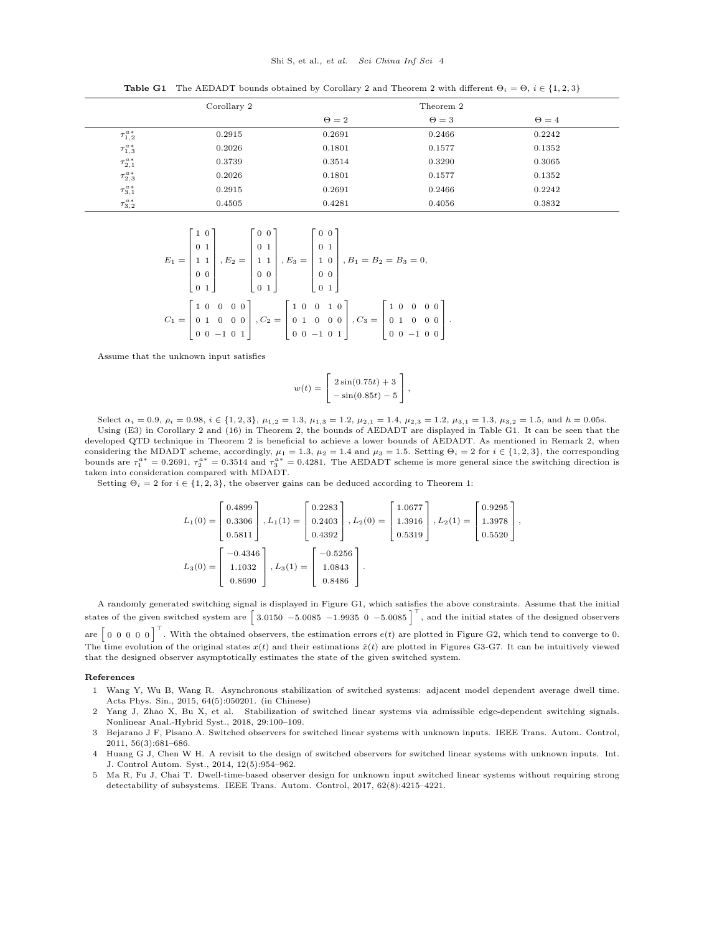#### Shi S, et al., et al. Sci China Inf Sci 4

**Table G1** The AEDADT bounds obtained by Corollary [2](#page-2-4) and Theorem 2 with different  $\Theta_i = \Theta$ ,  $i \in \{1, 2, 3\}$ 

<span id="page-3-4"></span>

|                     | Corollary 2 |              | Theorem 2  |              |
|---------------------|-------------|--------------|------------|--------------|
|                     |             | $\Theta = 2$ | $\Theta=3$ | $\Theta = 4$ |
| $\tau_{1,2}^{a*}$   | 0.2915      | 0.2691       | 0.2466     | 0.2242       |
| $\tau^{a\,*}_{1,3}$ | 0.2026      | 0.1801       | 0.1577     | 0.1352       |
| $\tau_{2,1}^{a*}$   | 0.3739      | 0.3514       | 0.3290     | 0.3065       |
| $\tau^{a\,*}_{2,3}$ | 0.2026      | 0.1801       | 0.1577     | 0.1352       |
| $\tau^{a*}_{3,1}$   | 0.2915      | 0.2691       | 0.2466     | 0.2242       |
| $\tau^{a*}_{3,2}$   | 0.4505      | 0.4281       | 0.4056     | 0.3832       |

$$
E_1 = \begin{bmatrix} 1 & 0 \\ 0 & 1 \\ 1 & 1 \\ 0 & 0 \\ 0 & 1 \end{bmatrix}, E_2 = \begin{bmatrix} 0 & 0 \\ 0 & 1 \\ 1 & 1 \\ 0 & 0 \\ 0 & 1 \end{bmatrix}, E_3 = \begin{bmatrix} 0 & 0 \\ 0 & 1 \\ 1 & 0 \\ 0 & 0 \\ 0 & 1 \end{bmatrix}, B_1 = B_2 = B_3 = 0,
$$
  

$$
C_1 = \begin{bmatrix} 1 & 0 & 0 & 0 & 0 \\ 0 & 1 & 0 & 0 & 0 \\ 0 & 1 & 0 & 0 & 0 \\ 0 & 0 & -1 & 0 & 1 \end{bmatrix}, C_2 = \begin{bmatrix} 1 & 0 & 0 & 1 & 0 \\ 0 & 1 & 0 & 0 & 0 \\ 0 & 0 & -1 & 0 & 1 \end{bmatrix}, C_3 = \begin{bmatrix} 1 & 0 & 0 & 0 & 0 \\ 0 & 1 & 0 & 0 & 0 \\ 0 & 0 & -1 & 0 & 0 \end{bmatrix}
$$

Assume that the unknown input satisfies

$$
w(t) = \begin{bmatrix} 2\sin(0.75t) + 3 \\ -\sin(0.85t) - 5 \end{bmatrix},
$$

.

Select  $\alpha_i = 0.9$ ,  $\rho_i = 0.98$ ,  $i \in \{1, 2, 3\}$ ,  $\mu_{1,2} = 1.3$ ,  $\mu_{1,3} = 1.2$ ,  $\mu_{2,1} = 1.4$ ,  $\mu_{2,3} = 1.2$ ,  $\mu_{3,1} = 1.3$ ,  $\mu_{3,2} = 1.5$ , and  $h = 0.05$ s. Using [\(E3\)](#page-2-1) in Corollary [2](#page-2-4) and (16) in Theorem 2, the bounds of AEDADT are displayed in Table [G1.](#page-3-4) It can be seen that the developed QTD technique in Theorem 2 is beneficial to achieve a lower bounds of AEDADT. As mentioned in Remark [2,](#page-2-5) when considering the MDADT scheme, accordingly,  $\mu_1 = 1.3$ ,  $\mu_2 = 1.4$  and  $\mu_3 = 1.5$ . Setting  $\Theta_i = 2$  for  $i \in \{1, 2, 3\}$ , the corresponding bounds are  $\tau_1^{a*} = 0.2691$ ,  $\tau_2^{a*} = 0.3514$  and  $\tau_3^{a*} = 0.4281$ . The AEDADT scheme is more general since the switching direction is taken into consideration compared with MDADT.

Setting  $\Theta_i = 2$  for  $i \in \{1, 2, 3\}$ , the observer gains can be deduced according to Theorem 1:

$$
L_1(0) = \begin{bmatrix} 0.4899 \\ 0.3306 \\ 0.5811 \end{bmatrix}, L_1(1) = \begin{bmatrix} 0.2283 \\ 0.2403 \\ 0.4392 \end{bmatrix}, L_2(0) = \begin{bmatrix} 1.0677 \\ 1.3916 \\ 0.5319 \end{bmatrix}, L_2(1) = \begin{bmatrix} 0.9295 \\ 1.3978 \\ 0.5520 \end{bmatrix},
$$
  

$$
L_3(0) = \begin{bmatrix} -0.4346 \\ 1.1032 \\ 0.8690 \end{bmatrix}, L_3(1) = \begin{bmatrix} -0.5256 \\ 1.0843 \\ 0.8486 \end{bmatrix}.
$$

A randomly generated switching signal is displayed in Figure [G1,](#page-4-0) which satisfies the above constraints. Assume that the initial states of the given switched system are  $\begin{bmatrix} 3.0150 & -5.0085 & -1.9935 & 0 & -5.0085 \end{bmatrix}^T$ , and the initial states of the designed observers are  $\begin{bmatrix} 0 & 0 & 0 & 0 \end{bmatrix}^{\top}$ . With the obtained observers, the estimation errors  $e(t)$  are plotted in Figure [G2,](#page-4-1) which tend to converge to 0. The time evolution of the original states  $x(t)$  and their estimations  $\hat{x}(t)$  are plotted in Figures [G3-](#page-5-0)[G7.](#page-7-0) It can be intuitively viewed that the designed observer asymptotically estimates the state of the given switched system.

#### References

- <span id="page-3-0"></span>1 Wang Y, Wu B, Wang R. Asynchronous stabilization of switched systems: adjacent model dependent average dwell time. Acta Phys. Sin., 2015, 64(5):050201. (in Chinese)
- <span id="page-3-1"></span>2 Yang J, Zhao X, Bu X, et al. Stabilization of switched linear systems via admissible edge-dependent switching signals. Nonlinear Anal.-Hybrid Syst., 2018, 29:100–109.
- <span id="page-3-2"></span>3 Bejarano J F, Pisano A. Switched observers for switched linear systems with unknown inputs. IEEE Trans. Autom. Control, 2011, 56(3):681–686.
- 4 Huang G J, Chen W H. A revisit to the design of switched observers for switched linear systems with unknown inputs. Int. J. Control Autom. Syst., 2014, 12(5):954–962.
- <span id="page-3-3"></span>5 Ma R, Fu J, Chai T. Dwell-time-based observer design for unknown input switched linear systems without requiring strong detectability of subsystems. IEEE Trans. Autom. Control, 2017, 62(8):4215–4221.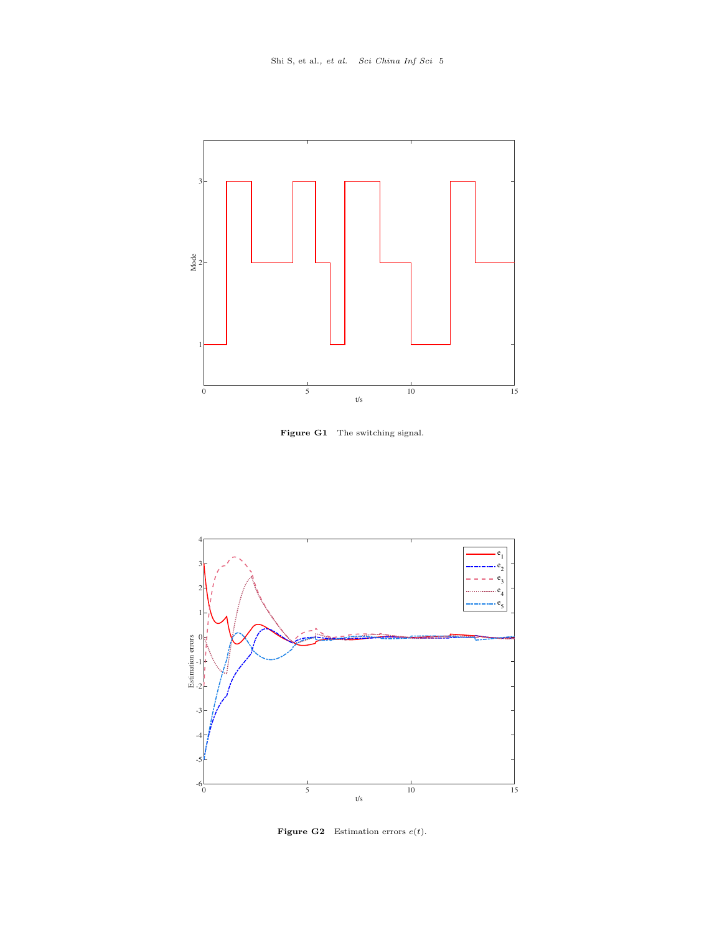<span id="page-4-0"></span>

Figure G1 The switching signal.

<span id="page-4-1"></span>

Figure G2 Estimation errors  $e(t)$ .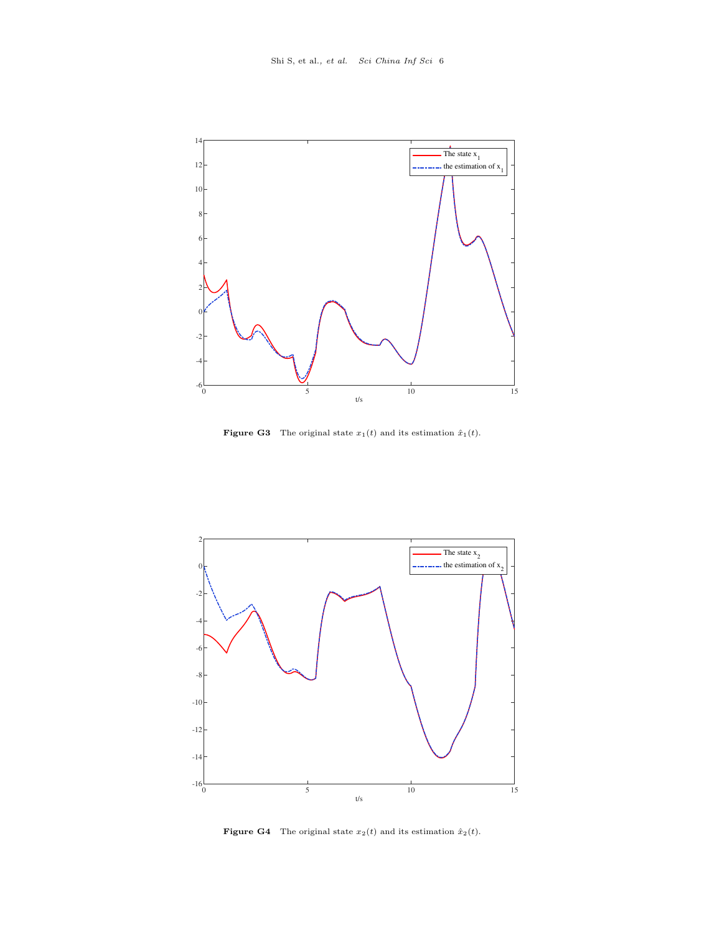<span id="page-5-0"></span>

**Figure G3** The original state  $x_1(t)$  and its estimation  $\hat{x}_1(t)$ .



**Figure G4** The original state  $x_2(t)$  and its estimation  $\hat{x}_2(t)$ .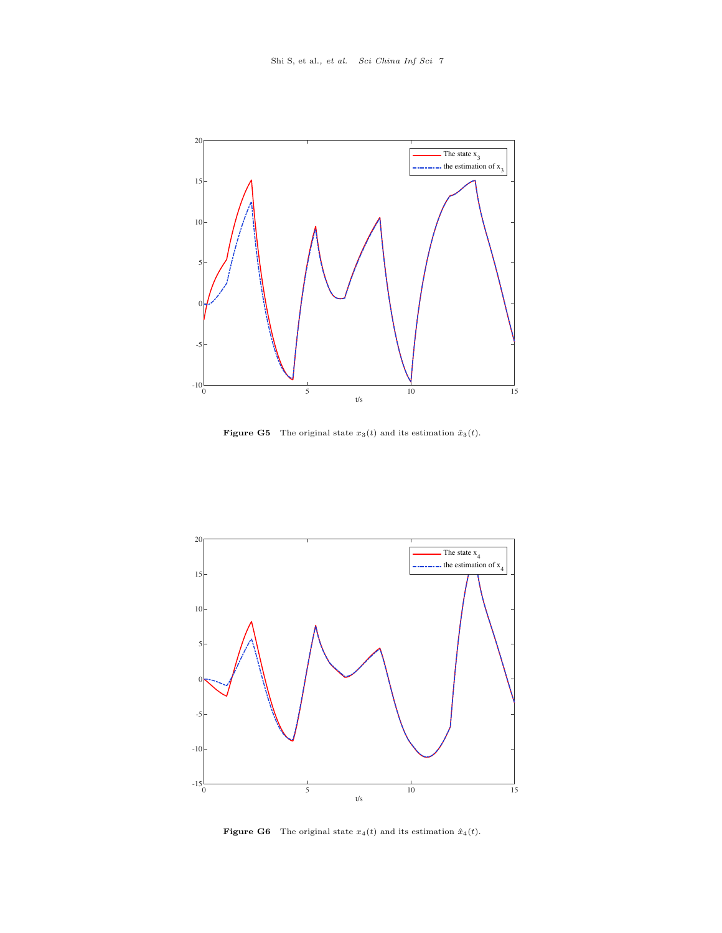

**Figure G5** The original state  $x_3(t)$  and its estimation  $\hat{x}_3(t)$ .



**Figure G6** The original state  $x_4(t)$  and its estimation  $\hat{x}_4(t)$ .